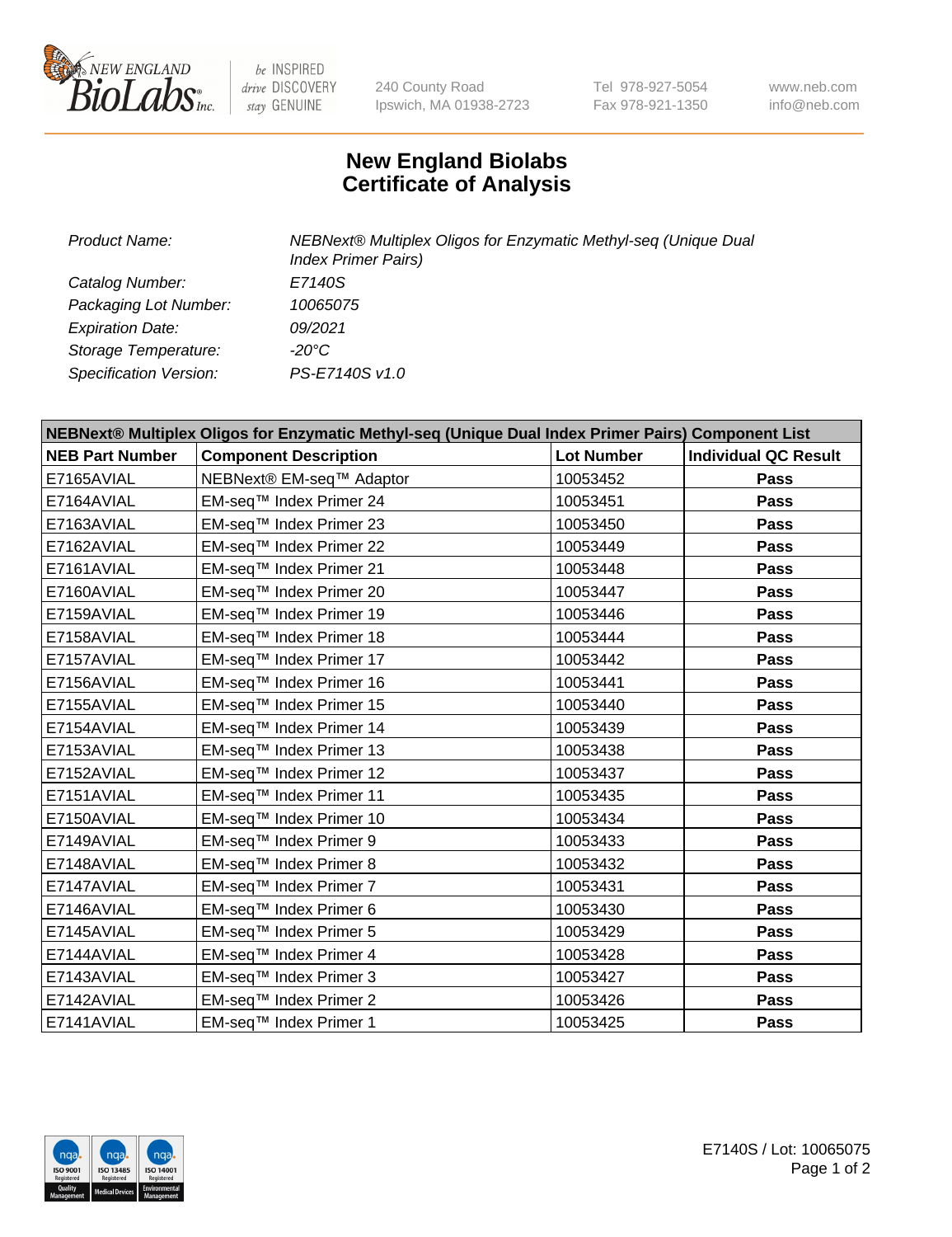

 $be$  INSPIRED drive DISCOVERY stay GENUINE

240 County Road Ipswich, MA 01938-2723 Tel 978-927-5054 Fax 978-921-1350 www.neb.com info@neb.com

## **New England Biolabs Certificate of Analysis**

| Product Name:           | NEBNext® Multiplex Oligos for Enzymatic Methyl-seq (Unique Dual<br><b>Index Primer Pairs)</b> |
|-------------------------|-----------------------------------------------------------------------------------------------|
| Catalog Number:         | E7140S                                                                                        |
| Packaging Lot Number:   | 10065075                                                                                      |
| <b>Expiration Date:</b> | 09/2021                                                                                       |
| Storage Temperature:    | $-20^{\circ}$ C                                                                               |
| Specification Version:  | PS-E7140S v1.0                                                                                |

| NEBNext® Multiplex Oligos for Enzymatic Methyl-seq (Unique Dual Index Primer Pairs) Component List |                              |                   |                             |  |
|----------------------------------------------------------------------------------------------------|------------------------------|-------------------|-----------------------------|--|
| <b>NEB Part Number</b>                                                                             | <b>Component Description</b> | <b>Lot Number</b> | <b>Individual QC Result</b> |  |
| E7165AVIAL                                                                                         | NEBNext® EM-seq™ Adaptor     | 10053452          | Pass                        |  |
| E7164AVIAL                                                                                         | EM-seq™ Index Primer 24      | 10053451          | <b>Pass</b>                 |  |
| E7163AVIAL                                                                                         | EM-seq™ Index Primer 23      | 10053450          | Pass                        |  |
| E7162AVIAL                                                                                         | EM-seq™ Index Primer 22      | 10053449          | Pass                        |  |
| E7161AVIAL                                                                                         | EM-seq™ Index Primer 21      | 10053448          | Pass                        |  |
| E7160AVIAL                                                                                         | EM-seq™ Index Primer 20      | 10053447          | Pass                        |  |
| E7159AVIAL                                                                                         | EM-seq™ Index Primer 19      | 10053446          | <b>Pass</b>                 |  |
| E7158AVIAL                                                                                         | EM-seq™ Index Primer 18      | 10053444          | Pass                        |  |
| E7157AVIAL                                                                                         | EM-seq™ Index Primer 17      | 10053442          | Pass                        |  |
| E7156AVIAL                                                                                         | EM-seq™ Index Primer 16      | 10053441          | Pass                        |  |
| E7155AVIAL                                                                                         | EM-seq™ Index Primer 15      | 10053440          | <b>Pass</b>                 |  |
| E7154AVIAL                                                                                         | EM-seq™ Index Primer 14      | 10053439          | Pass                        |  |
| E7153AVIAL                                                                                         | EM-seq™ Index Primer 13      | 10053438          | <b>Pass</b>                 |  |
| E7152AVIAL                                                                                         | EM-seq™ Index Primer 12      | 10053437          | Pass                        |  |
| E7151AVIAL                                                                                         | EM-seq™ Index Primer 11      | 10053435          | <b>Pass</b>                 |  |
| E7150AVIAL                                                                                         | EM-seq™ Index Primer 10      | 10053434          | <b>Pass</b>                 |  |
| E7149AVIAL                                                                                         | EM-seq™ Index Primer 9       | 10053433          | <b>Pass</b>                 |  |
| E7148AVIAL                                                                                         | EM-seq™ Index Primer 8       | 10053432          | Pass                        |  |
| E7147AVIAL                                                                                         | EM-seq™ Index Primer 7       | 10053431          | Pass                        |  |
| E7146AVIAL                                                                                         | EM-seq™ Index Primer 6       | 10053430          | <b>Pass</b>                 |  |
| E7145AVIAL                                                                                         | EM-seq™ Index Primer 5       | 10053429          | <b>Pass</b>                 |  |
| E7144AVIAL                                                                                         | EM-seq™ Index Primer 4       | 10053428          | Pass                        |  |
| E7143AVIAL                                                                                         | EM-seq™ Index Primer 3       | 10053427          | Pass                        |  |
| E7142AVIAL                                                                                         | EM-seq™ Index Primer 2       | 10053426          | <b>Pass</b>                 |  |
| E7141AVIAL                                                                                         | EM-seq™ Index Primer 1       | 10053425          | Pass                        |  |